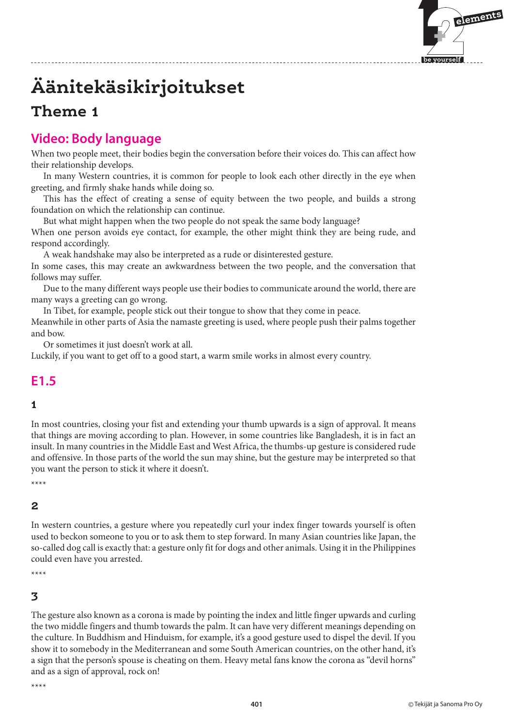

# **Theme 1**

## **Video: Body language**

When two people meet, their bodies begin the conversation before their voices do. This can affect how their relationship develops.

In many Western countries, it is common for people to look each other directly in the eye when greeting, and firmly shake hands while doing so.

This has the effect of creating a sense of equity between the two people, and builds a strong foundation on which the relationship can continue.

But what might happen when the two people do not speak the same body language?

When one person avoids eye contact, for example, the other might think they are being rude, and respond accordingly.

A weak handshake may also be interpreted as a rude or disinterested gesture.

In some cases, this may create an awkwardness between the two people, and the conversation that follows may suffer.

Due to the many different ways people use their bodies to communicate around the world, there are many ways a greeting can go wrong.

In Tibet, for example, people stick out their tongue to show that they come in peace.

Meanwhile in other parts of Asia the namaste greeting is used, where people push their palms together and bow.

Or sometimes it just doesn't work at all.

Luckily, if you want to get off to a good start, a warm smile works in almost every country.

# **E1.5**

#### **1**

In most countries, closing your fist and extending your thumb upwards is a sign of approval. It means that things are moving according to plan. However, in some countries like Bangladesh, it is in fact an insult. In many countries in the Middle East and West Africa, the thumbs-up gesture is considered rude and offensive. In those parts of the world the sun may shine, but the gesture may be interpreted so that you want the person to stick it where it doesn't.

\*\*\*\*

#### **2**

In western countries, a gesture where you repeatedly curl your index finger towards yourself is often used to beckon someone to you or to ask them to step forward. In many Asian countries like Japan, the so-called dog call is exactly that: a gesture only fit for dogs and other animals. Using it in the Philippines could even have you arrested.

\*\*\*\*

## **3**

The gesture also known as a corona is made by pointing the index and little finger upwards and curling the two middle fingers and thumb towards the palm. It can have very different meanings depending on the culture. In Buddhism and Hinduism, for example, it's a good gesture used to dispel the devil. If you show it to somebody in the Mediterranean and some South American countries, on the other hand, it's a sign that the person's spouse is cheating on them. Heavy metal fans know the corona as "devil horns" and as a sign of approval, rock on!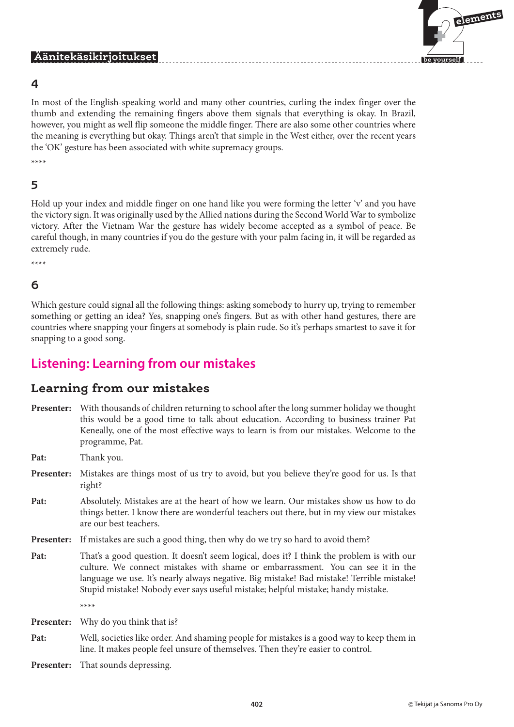

#### **4**

In most of the English-speaking world and many other countries, curling the index finger over the thumb and extending the remaining fingers above them signals that everything is okay. In Brazil, however, you might as well flip someone the middle finger. There are also some other countries where the meaning is everything but okay. Things aren't that simple in the West either, over the recent years the 'OK' gesture has been associated with white supremacy groups.

\*\*\*\*

### **5**

Hold up your index and middle finger on one hand like you were forming the letter 'v' and you have the victory sign. It was originally used by the Allied nations during the Second World War to symbolize victory. After the Vietnam War the gesture has widely become accepted as a symbol of peace. Be careful though, in many countries if you do the gesture with your palm facing in, it will be regarded as extremely rude.

\*\*\*\*

### **6**

Which gesture could signal all the following things: asking somebody to hurry up, trying to remember something or getting an idea? Yes, snapping one's fingers. But as with other hand gestures, there are countries where snapping your fingers at somebody is plain rude. So it's perhaps smartest to save it for snapping to a good song.

# **Listening: Learning from our mistakes**

### **Learning from our mistakes**

**Presenter:** With thousands of children returning to school after the long summer holiday we thought this would be a good time to talk about education. According to business trainer Pat Keneally, one of the most effective ways to learn is from our mistakes. Welcome to the programme, Pat.

Pat: Thank you.

- **Presenter:** Mistakes are things most of us try to avoid, but you believe they're good for us. Is that right?
- **Pat:** Absolutely. Mistakes are at the heart of how we learn. Our mistakes show us how to do things better. I know there are wonderful teachers out there, but in my view our mistakes are our best teachers.

**Presenter:** If mistakes are such a good thing, then why do we try so hard to avoid them?

**Pat:** That's a good question. It doesn't seem logical, does it? I think the problem is with our culture. We connect mistakes with shame or embarrassment. You can see it in the language we use. It's nearly always negative. Big mistake! Bad mistake! Terrible mistake! Stupid mistake! Nobody ever says useful mistake; helpful mistake; handy mistake.

\*\*\*\*

**Presenter:** Why do you think that is?

- **Pat:** Well, societies like order. And shaming people for mistakes is a good way to keep them in line. It makes people feel unsure of themselves. Then they're easier to control.
- Presenter: That sounds depressing.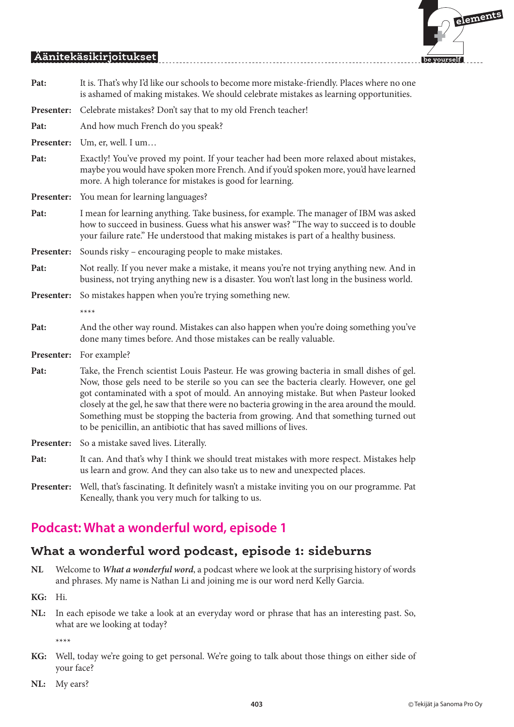# $\mathbf{F}$  **elements be yourself**

#### **Äänitekäsikirjoitukset**

- **Pat:** It is. That's why I'd like our schools to become more mistake-friendly. Places where no one is ashamed of making mistakes. We should celebrate mistakes as learning opportunities. Presenter: Celebrate mistakes? Don't say that to my old French teacher! Pat: And how much French do you speak? **Presenter:** Um, er, well. I um… **Pat:** Exactly! You've proved my point. If your teacher had been more relaxed about mistakes, maybe you would have spoken more French. And if you'd spoken more, you'd have learned more. A high tolerance for mistakes is good for learning. **Presenter:** You mean for learning languages? **Pat:** I mean for learning anything. Take business, for example. The manager of IBM was asked how to succeed in business. Guess what his answer was? "The way to succeed is to double your failure rate." He understood that making mistakes is part of a healthy business. **Presenter:** Sounds risky – encouraging people to make mistakes. Pat: Not really. If you never make a mistake, it means you're not trying anything new. And in business, not trying anything new is a disaster. You won't last long in the business world. **Presenter:** So mistakes happen when you're trying something new. \*\*\*\* **Pat:** And the other way round. Mistakes can also happen when you're doing something you've done many times before. And those mistakes can be really valuable. Presenter: For example? **Pat:** Take, the French scientist Louis Pasteur. He was growing bacteria in small dishes of gel. Now, those gels need to be sterile so you can see the bacteria clearly. However, one gel got contaminated with a spot of mould. An annoying mistake. But when Pasteur looked closely at the gel, he saw that there were no bacteria growing in the area around the mould. Something must be stopping the bacteria from growing. And that something turned out to be penicillin, an antibiotic that has saved millions of lives. **Presenter:** So a mistake saved lives. Literally. Pat: It can. And that's why I think we should treat mistakes with more respect. Mistakes help us learn and grow. And they can also take us to new and unexpected places.
- **Presenter:** Well, that's fascinating. It definitely wasn't a mistake inviting you on our programme. Pat Keneally, thank you very much for talking to us.

# **Podcast: What a wonderful word, episode 1**

## **What a wonderful word podcast, episode 1: sideburns**

- **NL** Welcome to *What a wonderful word*, a podcast where we look at the surprising history of words and phrases. My name is Nathan Li and joining me is our word nerd Kelly Garcia.
- **KG:** Hi.
- **NL:** In each episode we take a look at an everyday word or phrase that has an interesting past. So, what are we looking at today?

- **KG:** Well, today we're going to get personal. We're going to talk about those things on either side of your face?
- **NL:** My ears?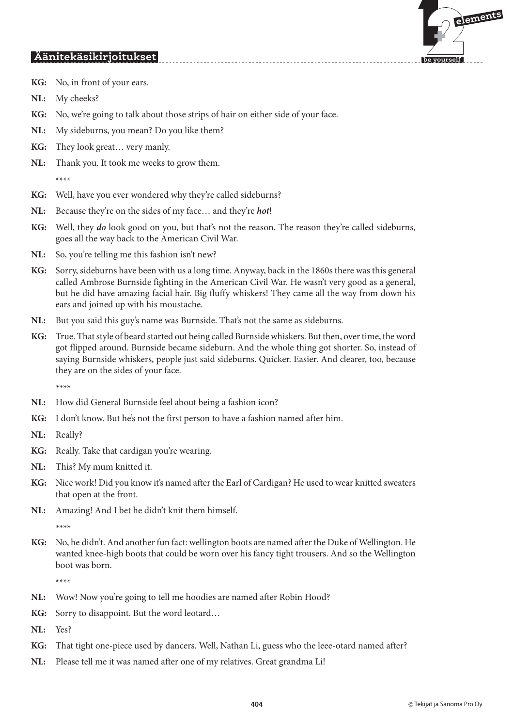

- **KG:** No, in front of your ears.
- **NL:** My cheeks?
- **KG:** No, we're going to talk about those strips of hair on either side of your face.
- **NL:** My sideburns, you mean? Do you like them?
- **KG:** They look great… very manly.
- **NL:** Thank you. It took me weeks to grow them.

\*\*\*\*

- **KG:** Well, have you ever wondered why they're called sideburns?
- **NL:** Because they're on the sides of my face… and they're *hot*!
- **KG:** Well, they *do* look good on you, but that's not the reason. The reason they're called sideburns, goes all the way back to the American Civil War.
- NL: So, you're telling me this fashion isn't new?
- **KG:** Sorry, sideburns have been with us a long time. Anyway, back in the 1860s there was this general called Ambrose Burnside fighting in the American Civil War. He wasn't very good as a general, but he did have amazing facial hair. Big fluffy whiskers! They came all the way from down his ears and joined up with his moustache.
- **NL:** But you said this guy's name was Burnside. That's not the same as sideburns.
- **KG:** True. That style of beard started out being called Burnside whiskers. But then, over time, the word got flipped around. Burnside became sideburn. And the whole thing got shorter. So, instead of saying Burnside whiskers, people just said sideburns. Quicker. Easier. And clearer, too, because they are on the sides of your face.

\*\*\*\*

- **NL:** How did General Burnside feel about being a fashion icon?
- **KG:** I don't know. But he's not the first person to have a fashion named after him.
- **NL:** Really?
- **KG:** Really. Take that cardigan you're wearing.
- **NL:** This? My mum knitted it.
- **KG:** Nice work! Did you know it's named after the Earl of Cardigan? He used to wear knitted sweaters that open at the front.
- **NL:** Amazing! And I bet he didn't knit them himself.

\*\*\*\*

**KG:** No, he didn't. And another fun fact: wellington boots are named after the Duke of Wellington. He wanted knee-high boots that could be worn over his fancy tight trousers. And so the Wellington boot was born.

- NL: Wow! Now you're going to tell me hoodies are named after Robin Hood?
- **KG:** Sorry to disappoint. But the word leotard…
- **NL:** Yes?
- **KG:** That tight one-piece used by dancers. Well, Nathan Li, guess who the leee-otard named after?
- **NL:** Please tell me it was named after one of my relatives. Great grandma Li!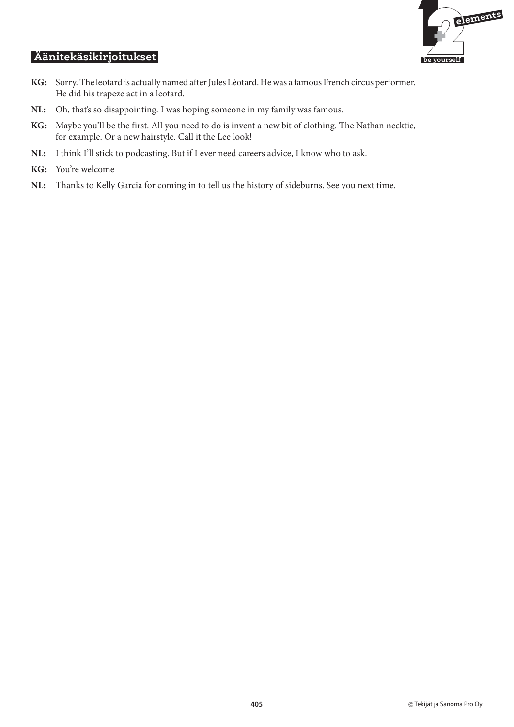

**KG:** Sorry. The leotard is actually named after Jules Léotard. He was a famous French circus performer. He did his trapeze act in a leotard.

- **NL:** Oh, that's so disappointing. I was hoping someone in my family was famous.
- **KG:** Maybe you'll be the first. All you need to do is invent a new bit of clothing. The Nathan necktie, for example. Or a new hairstyle. Call it the Lee look!
- **NL:** I think I'll stick to podcasting. But if I ever need careers advice, I know who to ask.
- **KG:** You're welcome
- **NL:** Thanks to Kelly Garcia for coming in to tell us the history of sideburns. See you next time.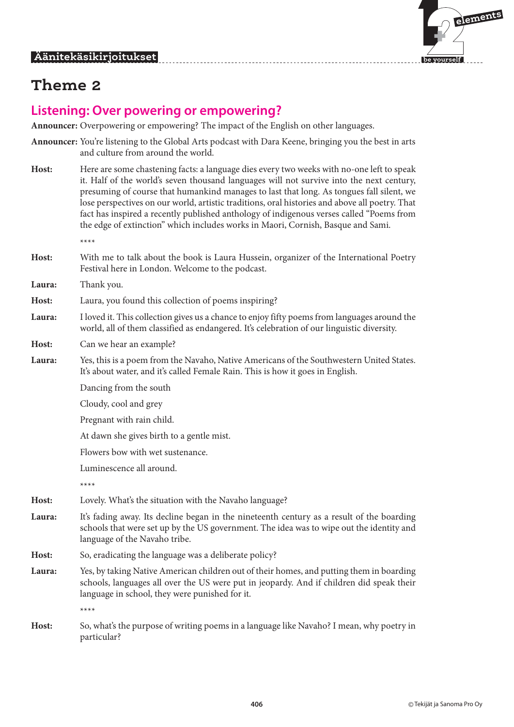

# **Theme 2**

## **Listening: Over powering or empowering?**

**Announcer:** Overpowering or empowering? The impact of the English on other languages.

**Announcer:** You're listening to the Global Arts podcast with Dara Keene, bringing you the best in arts and culture from around the world.

**Host:** Here are some chastening facts: a language dies every two weeks with no-one left to speak it. Half of the world's seven thousand languages will not survive into the next century, presuming of course that humankind manages to last that long. As tongues fall silent, we lose perspectives on our world, artistic traditions, oral histories and above all poetry. That fact has inspired a recently published anthology of indigenous verses called "Poems from the edge of extinction" which includes works in Maori, Cornish, Basque and Sami.

\*\*\*\*

- **Host:** With me to talk about the book is Laura Hussein, organizer of the International Poetry Festival here in London. Welcome to the podcast.
- **Laura:** Thank you.
- **Host:** Laura, you found this collection of poems inspiring?
- **Laura:** I loved it. This collection gives us a chance to enjoy fifty poems from languages around the world, all of them classified as endangered. It's celebration of our linguistic diversity.
- **Host:** Can we hear an example?
- **Laura:** Yes, this is a poem from the Navaho, Native Americans of the Southwestern United States. It's about water, and it's called Female Rain. This is how it goes in English.
	- Dancing from the south
	- Cloudy, cool and grey
	- Pregnant with rain child.
	- At dawn she gives birth to a gentle mist.
	- Flowers bow with wet sustenance.
	- Luminescence all around.

\*\*\*\*

- **Host:** Lovely. What's the situation with the Navaho language?
- Laura: It's fading away. Its decline began in the nineteenth century as a result of the boarding schools that were set up by the US government. The idea was to wipe out the identity and language of the Navaho tribe.
- **Host:** So, eradicating the language was a deliberate policy?
- **Laura:** Yes, by taking Native American children out of their homes, and putting them in boarding schools, languages all over the US were put in jeopardy. And if children did speak their language in school, they were punished for it.

\*\*\*\*

**Host:** So, what's the purpose of writing poems in a language like Navaho? I mean, why poetry in particular?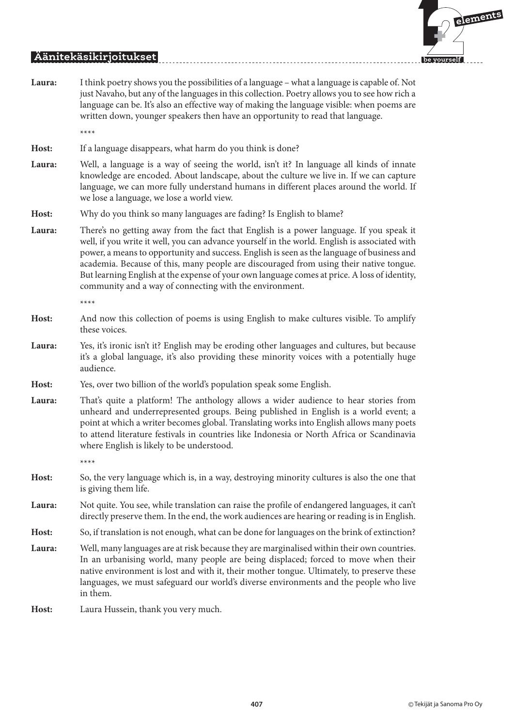# $\mathbf{F}$  **elements be yourself**

#### **Äänitekäsikirjoitukset**

- **Laura:** I think poetry shows you the possibilities of a language what a language is capable of. Not just Navaho, but any of the languages in this collection. Poetry allows you to see how rich a language can be. It's also an effective way of making the language visible: when poems are written down, younger speakers then have an opportunity to read that language. \*\*\*\*
- **Host:** If a language disappears, what harm do you think is done?
- **Laura:** Well, a language is a way of seeing the world, isn't it? In language all kinds of innate knowledge are encoded. About landscape, about the culture we live in. If we can capture language, we can more fully understand humans in different places around the world. If we lose a language, we lose a world view.
- **Host:** Why do you think so many languages are fading? Is English to blame?
- **Laura:** There's no getting away from the fact that English is a power language. If you speak it well, if you write it well, you can advance yourself in the world. English is associated with power, a means to opportunity and success. English is seen as the language of business and academia. Because of this, many people are discouraged from using their native tongue. But learning English at the expense of your own language comes at price. A loss of identity, community and a way of connecting with the environment.

\*\*\*\*

- **Host:** And now this collection of poems is using English to make cultures visible. To amplify these voices.
- **Laura:** Yes, it's ironic isn't it? English may be eroding other languages and cultures, but because it's a global language, it's also providing these minority voices with a potentially huge audience.
- **Host:** Yes, over two billion of the world's population speak some English.
- **Laura:** That's quite a platform! The anthology allows a wider audience to hear stories from unheard and underrepresented groups. Being published in English is a world event; a point at which a writer becomes global. Translating works into English allows many poets to attend literature festivals in countries like Indonesia or North Africa or Scandinavia where English is likely to be understood.

- **Host:** So, the very language which is, in a way, destroying minority cultures is also the one that is giving them life.
- **Laura:** Not quite. You see, while translation can raise the profile of endangered languages, it can't directly preserve them. In the end, the work audiences are hearing or reading is in English.
- **Host:** So, if translation is not enough, what can be done for languages on the brink of extinction?
- **Laura:** Well, many languages are at risk because they are marginalised within their own countries. In an urbanising world, many people are being displaced; forced to move when their native environment is lost and with it, their mother tongue. Ultimately, to preserve these languages, we must safeguard our world's diverse environments and the people who live in them.
- **Host:** Laura Hussein, thank you very much.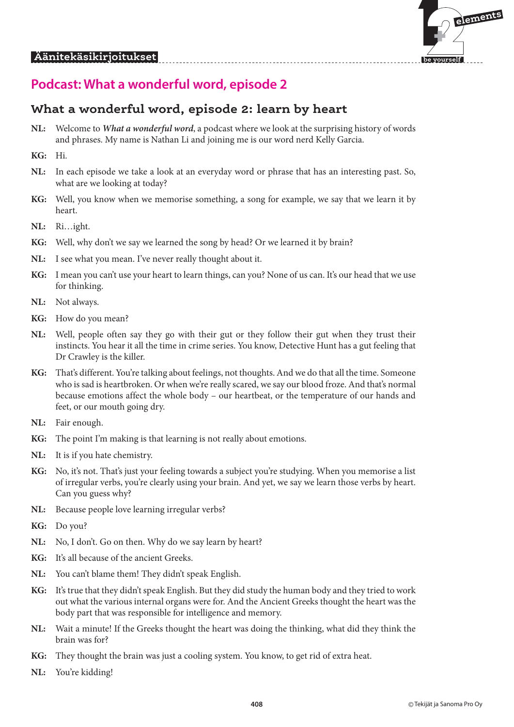

# **Podcast: What a wonderful word, episode 2**

## **What a wonderful word, episode 2: learn by heart**

- **NL:** Welcome to *What a wonderful word*, a podcast where we look at the surprising history of words and phrases. My name is Nathan Li and joining me is our word nerd Kelly Garcia.
- **KG:** Hi.
- **NL:** In each episode we take a look at an everyday word or phrase that has an interesting past. So, what are we looking at today?
- **KG:** Well, you know when we memorise something, a song for example, we say that we learn it by heart.
- **NL:** Ri…ight.
- **KG:** Well, why don't we say we learned the song by head? Or we learned it by brain?
- **NL:** I see what you mean. I've never really thought about it.
- **KG:** I mean you can't use your heart to learn things, can you? None of us can. It's our head that we use for thinking.
- **NL:** Not always.
- **KG:** How do you mean?
- **NL:** Well, people often say they go with their gut or they follow their gut when they trust their instincts. You hear it all the time in crime series. You know, Detective Hunt has a gut feeling that Dr Crawley is the killer.
- **KG:** That's different. You're talking about feelings, not thoughts. And we do that all the time. Someone who is sad is heartbroken. Or when we're really scared, we say our blood froze. And that's normal because emotions affect the whole body – our heartbeat, or the temperature of our hands and feet, or our mouth going dry.
- **NL:** Fair enough.
- **KG:** The point I'm making is that learning is not really about emotions.
- **NL:** It is if you hate chemistry.
- **KG:** No, it's not. That's just your feeling towards a subject you're studying. When you memorise a list of irregular verbs, you're clearly using your brain. And yet, we say we learn those verbs by heart. Can you guess why?
- **NL:** Because people love learning irregular verbs?
- **KG:** Do you?
- **NL:** No, I don't. Go on then. Why do we say learn by heart?
- **KG:** It's all because of the ancient Greeks.
- **NL:** You can't blame them! They didn't speak English.
- **KG:** It's true that they didn't speak English. But they did study the human body and they tried to work out what the various internal organs were for. And the Ancient Greeks thought the heart was the body part that was responsible for intelligence and memory.
- **NL:** Wait a minute! If the Greeks thought the heart was doing the thinking, what did they think the brain was for?
- **KG:** They thought the brain was just a cooling system. You know, to get rid of extra heat.
- **NL:** You're kidding!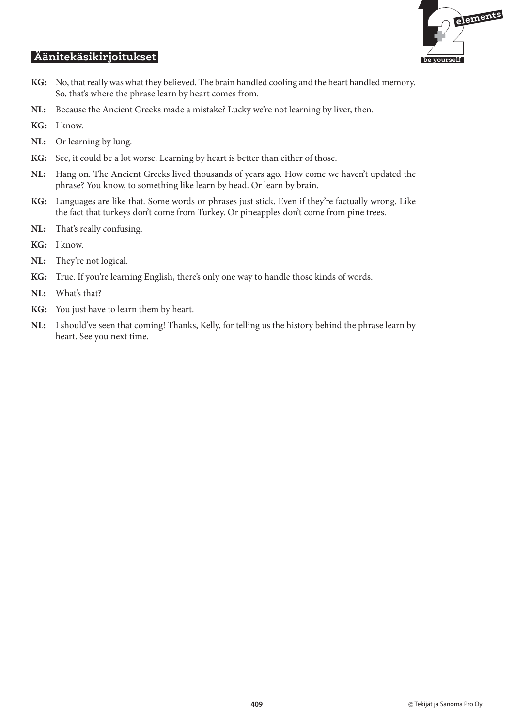

- **KG:** No, that really was what they believed. The brain handled cooling and the heart handled memory. So, that's where the phrase learn by heart comes from.
- **NL:** Because the Ancient Greeks made a mistake? Lucky we're not learning by liver, then.
- **KG:** I know.
- **NL:** Or learning by lung.
- **KG:** See, it could be a lot worse. Learning by heart is better than either of those.
- **NL:** Hang on. The Ancient Greeks lived thousands of years ago. How come we haven't updated the phrase? You know, to something like learn by head. Or learn by brain.
- **KG:** Languages are like that. Some words or phrases just stick. Even if they're factually wrong. Like the fact that turkeys don't come from Turkey. Or pineapples don't come from pine trees.
- **NL:** That's really confusing.
- **KG:** I know.
- **NL:** They're not logical.
- **KG:** True. If you're learning English, there's only one way to handle those kinds of words.
- **NL:** What's that?
- **KG:** You just have to learn them by heart.
- **NL:** I should've seen that coming! Thanks, Kelly, for telling us the history behind the phrase learn by heart. See you next time.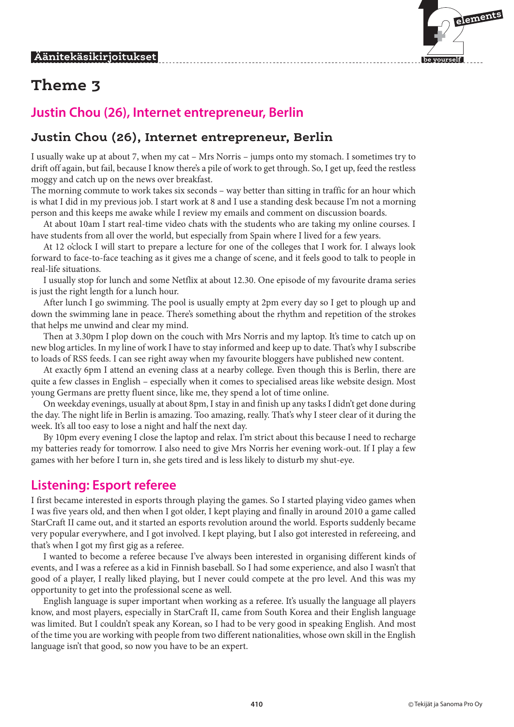

# **Theme 3**

# **Justin Chou (26), Internet entrepreneur, Berlin**

## **Justin Chou (26), Internet entrepreneur, Berlin**

I usually wake up at about 7, when my cat – Mrs Norris – jumps onto my stomach. I sometimes try to drift off again, but fail, because I know there's a pile of work to get through. So, I get up, feed the restless moggy and catch up on the news over breakfast.

The morning commute to work takes six seconds – way better than sitting in traffic for an hour which is what I did in my previous job. I start work at 8 and I use a standing desk because I'm not a morning person and this keeps me awake while I review my emails and comment on discussion boards.

At about 10am I start real-time video chats with the students who are taking my online courses. I have students from all over the world, but especially from Spain where I lived for a few years.

At 12 o'clock I will start to prepare a lecture for one of the colleges that I work for. I always look forward to face-to-face teaching as it gives me a change of scene, and it feels good to talk to people in real-life situations.

I usually stop for lunch and some Netflix at about 12.30. One episode of my favourite drama series is just the right length for a lunch hour.

After lunch I go swimming. The pool is usually empty at 2pm every day so I get to plough up and down the swimming lane in peace. There's something about the rhythm and repetition of the strokes that helps me unwind and clear my mind.

Then at 3.30pm I plop down on the couch with Mrs Norris and my laptop. It's time to catch up on new blog articles. In my line of work I have to stay informed and keep up to date. That's why I subscribe to loads of RSS feeds. I can see right away when my favourite bloggers have published new content.

At exactly 6pm I attend an evening class at a nearby college. Even though this is Berlin, there are quite a few classes in English – especially when it comes to specialised areas like website design. Most young Germans are pretty fluent since, like me, they spend a lot of time online.

On weekday evenings, usually at about 8pm, I stay in and finish up any tasks I didn't get done during the day. The night life in Berlin is amazing. Too amazing, really. That's why I steer clear of it during the week. It's all too easy to lose a night and half the next day.

By 10pm every evening I close the laptop and relax. I'm strict about this because I need to recharge my batteries ready for tomorrow. I also need to give Mrs Norris her evening work-out. If I play a few games with her before I turn in, she gets tired and is less likely to disturb my shut-eye.

# **Listening: Esport referee**

I first became interested in esports through playing the games. So I started playing video games when I was five years old, and then when I got older, I kept playing and finally in around 2010 a game called StarCraft II came out, and it started an esports revolution around the world. Esports suddenly became very popular everywhere, and I got involved. I kept playing, but I also got interested in refereeing, and that's when I got my first gig as a referee.

I wanted to become a referee because I've always been interested in organising different kinds of events, and I was a referee as a kid in Finnish baseball. So I had some experience, and also I wasn't that good of a player, I really liked playing, but I never could compete at the pro level. And this was my opportunity to get into the professional scene as well.

English language is super important when working as a referee. It's usually the language all players know, and most players, especially in StarCraft II, came from South Korea and their English language was limited. But I couldn't speak any Korean, so I had to be very good in speaking English. And most of the time you are working with people from two different nationalities, whose own skill in the English language isn't that good, so now you have to be an expert.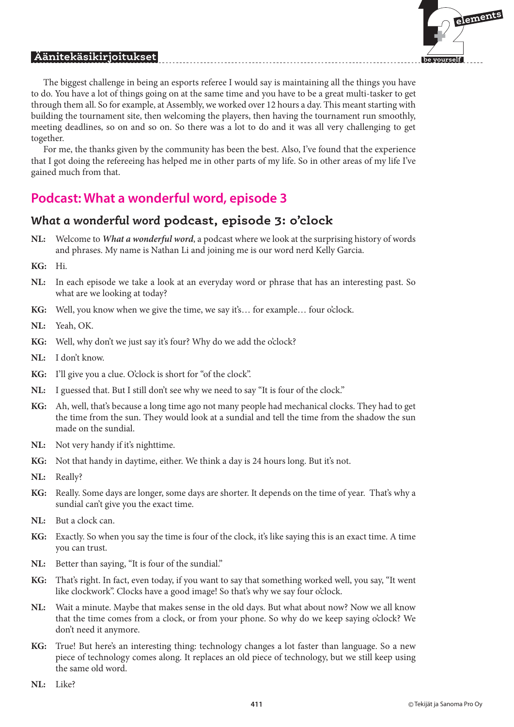

The biggest challenge in being an esports referee I would say is maintaining all the things you have to do. You have a lot of things going on at the same time and you have to be a great multi-tasker to get through them all. So for example, at Assembly, we worked over 12 hours a day. This meant starting with building the tournament site, then welcoming the players, then having the tournament run smoothly, meeting deadlines, so on and so on. So there was a lot to do and it was all very challenging to get together.

For me, the thanks given by the community has been the best. Also, I've found that the experience that I got doing the refereeing has helped me in other parts of my life. So in other areas of my life I've gained much from that.

## **Podcast: What a wonderful word, episode 3**

#### *What a wonderful word* **podcast, episode 3: o'clock**

**NL:** Welcome to *What a wonderful word*, a podcast where we look at the surprising history of words and phrases. My name is Nathan Li and joining me is our word nerd Kelly Garcia.

**KG:** Hi.

- **NL:** In each episode we take a look at an everyday word or phrase that has an interesting past. So what are we looking at today?
- **KG:** Well, you know when we give the time, we say it's… for example… four o'clock.
- **NL:** Yeah, OK.
- **KG:** Well, why don't we just say it's four? Why do we add the o'clock?
- **NL:** I don't know.
- **KG:** I'll give you a clue. O'clock is short for "of the clock".
- **NL:** I guessed that. But I still don't see why we need to say "It is four of the clock."
- **KG:** Ah, well, that's because a long time ago not many people had mechanical clocks. They had to get the time from the sun. They would look at a sundial and tell the time from the shadow the sun made on the sundial.
- **NL:** Not very handy if it's nighttime.
- **KG:** Not that handy in daytime, either. We think a day is 24 hours long. But it's not.
- **NL:** Really?
- **KG:** Really. Some days are longer, some days are shorter. It depends on the time of year. That's why a sundial can't give you the exact time.
- **NL:** But a clock can.
- **KG:** Exactly. So when you say the time is four of the clock, it's like saying this is an exact time. A time you can trust.
- NL: Better than saying, "It is four of the sundial."
- **KG:** That's right. In fact, even today, if you want to say that something worked well, you say, "It went like clockwork". Clocks have a good image! So that's why we say four o'clock.
- **NL:** Wait a minute. Maybe that makes sense in the old days. But what about now? Now we all know that the time comes from a clock, or from your phone. So why do we keep saying o'clock? We don't need it anymore.
- **KG:** True! But here's an interesting thing: technology changes a lot faster than language. So a new piece of technology comes along. It replaces an old piece of technology, but we still keep using the same old word.
- **NL:** Like?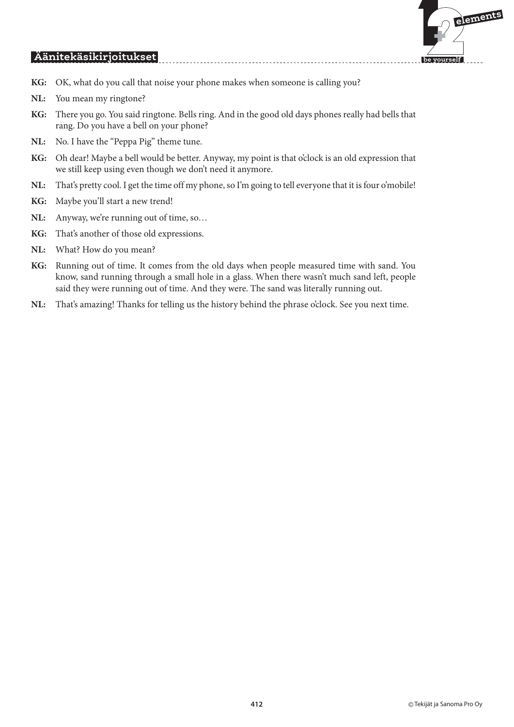# $\mathbf{F}$  **elements be yourself**

#### **Äänitekäsikirjoitukset**

- **KG:** OK, what do you call that noise your phone makes when someone is calling you?
- **NL:** You mean my ringtone?
- **KG:** There you go. You said ringtone. Bells ring. And in the good old days phones really had bells that rang. Do you have a bell on your phone?
- **NL:** No. I have the "Peppa Pig" theme tune.
- **KG:** Oh dear! Maybe a bell would be better. Anyway, my point is that o'clock is an old expression that we still keep using even though we don't need it anymore.
- **NL:** That's pretty cool. I get the time off my phone, so I'm going to tell everyone that it is four o'mobile!
- **KG:** Maybe you'll start a new trend!
- **NL:** Anyway, we're running out of time, so…
- **KG:** That's another of those old expressions.
- **NL:** What? How do you mean?
- **KG:** Running out of time. It comes from the old days when people measured time with sand. You know, sand running through a small hole in a glass. When there wasn't much sand left, people said they were running out of time. And they were. The sand was literally running out.
- **NL:** That's amazing! Thanks for telling us the history behind the phrase o'clock. See you next time.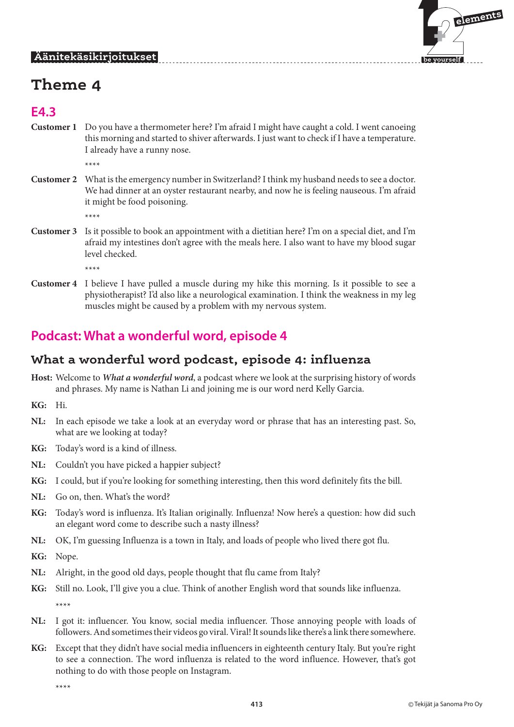

# **Theme 4**

## **E4.3**

**Customer 1** Do you have a thermometer here? I'm afraid I might have caught a cold. I went canoeing this morning and started to shiver afterwards. I just want to check if I have a temperature. I already have a runny nose.

\*\*\*\*

**Customer 2** What is the emergency number in Switzerland? I think my husband needs to see a doctor. We had dinner at an oyster restaurant nearby, and now he is feeling nauseous. I'm afraid it might be food poisoning.

\*\*\*\*

**Customer 3** Is it possible to book an appointment with a dietitian here? I'm on a special diet, and I'm afraid my intestines don't agree with the meals here. I also want to have my blood sugar level checked.

\*\*\*\*

**Customer 4** I believe I have pulled a muscle during my hike this morning. Is it possible to see a physiotherapist? I'd also like a neurological examination. I think the weakness in my leg muscles might be caused by a problem with my nervous system.

# **Podcast: What a wonderful word, episode 4**

## **What a wonderful word podcast, episode 4: influenza**

**Host:** Welcome to *What a wonderful word*, a podcast where we look at the surprising history of words and phrases. My name is Nathan Li and joining me is our word nerd Kelly Garcia.

**KG:** Hi.

- **NL:** In each episode we take a look at an everyday word or phrase that has an interesting past. So, what are we looking at today?
- **KG:** Today's word is a kind of illness.
- **NL:** Couldn't you have picked a happier subject?
- **KG:** I could, but if you're looking for something interesting, then this word definitely fits the bill.
- **NL:** Go on, then. What's the word?
- **KG:** Today's word is influenza. It's Italian originally. Influenza! Now here's a question: how did such an elegant word come to describe such a nasty illness?
- **NL:** OK, I'm guessing Influenza is a town in Italy, and loads of people who lived there got flu.
- **KG:** Nope.
- **NL:** Alright, in the good old days, people thought that flu came from Italy?
- **KG:** Still no. Look, I'll give you a clue. Think of another English word that sounds like influenza. \*\*\*\*
- **NL:** I got it: influencer. You know, social media influencer. Those annoying people with loads of followers. And sometimes their videos go viral. Viral! It sounds like there's a link there somewhere.
- KG: Except that they didn't have social media influencers in eighteenth century Italy. But you're right to see a connection. The word influenza is related to the word influence. However, that's got nothing to do with those people on Instagram.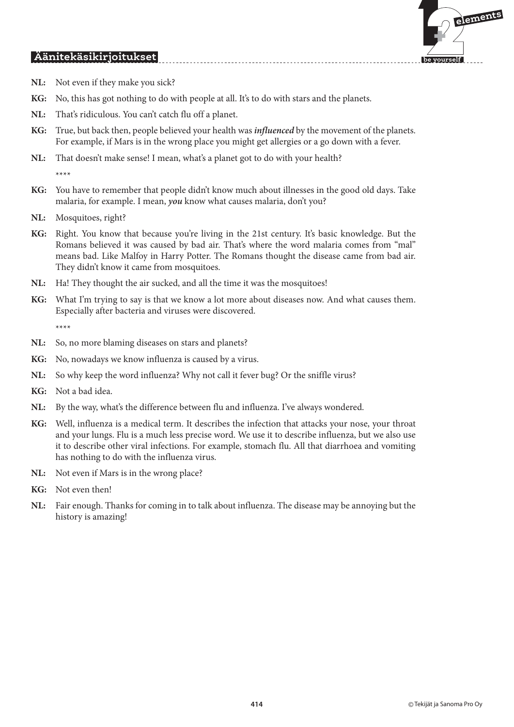

- **NL:** Not even if they make you sick?
- **KG:** No, this has got nothing to do with people at all. It's to do with stars and the planets.
- **NL:** That's ridiculous. You can't catch flu off a planet.
- **KG:** True, but back then, people believed your health was *influenced* by the movement of the planets. For example, if Mars is in the wrong place you might get allergies or a go down with a fever.
- **NL:** That doesn't make sense! I mean, what's a planet got to do with your health? \*\*\*\*
- **KG:** You have to remember that people didn't know much about illnesses in the good old days. Take malaria, for example. I mean, *you* know what causes malaria, don't you?
- **NL:** Mosquitoes, right?
- **KG:** Right. You know that because you're living in the 21st century. It's basic knowledge. But the Romans believed it was caused by bad air. That's where the word malaria comes from "mal" means bad. Like Malfoy in Harry Potter. The Romans thought the disease came from bad air. They didn't know it came from mosquitoes.
- **NL:** Ha! They thought the air sucked, and all the time it was the mosquitoes!
- **KG:** What I'm trying to say is that we know a lot more about diseases now. And what causes them. Especially after bacteria and viruses were discovered.

- **NL:** So, no more blaming diseases on stars and planets?
- **KG:** No, nowadays we know influenza is caused by a virus.
- **NL:** So why keep the word influenza? Why not call it fever bug? Or the sniffle virus?
- **KG:** Not a bad idea.
- **NL:** By the way, what's the difference between flu and influenza. I've always wondered.
- **KG:** Well, influenza is a medical term. It describes the infection that attacks your nose, your throat and your lungs. Flu is a much less precise word. We use it to describe influenza, but we also use it to describe other viral infections. For example, stomach flu. All that diarrhoea and vomiting has nothing to do with the influenza virus.
- **NL:** Not even if Mars is in the wrong place?
- **KG:** Not even then!
- **NL:** Fair enough. Thanks for coming in to talk about influenza. The disease may be annoying but the history is amazing!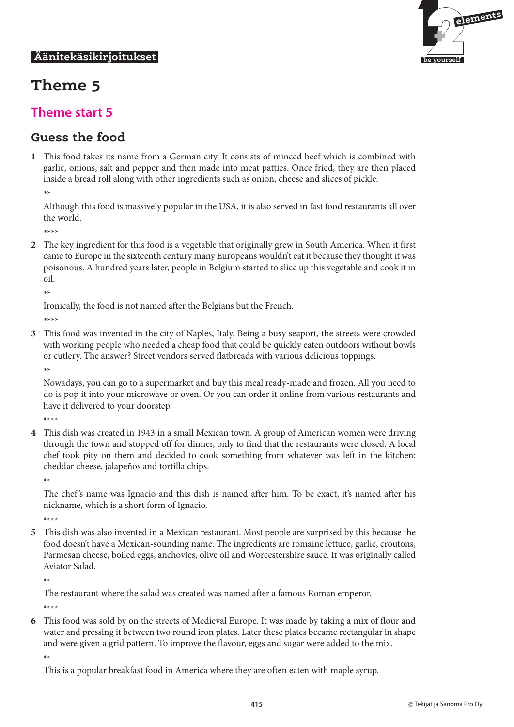

# **Theme 5**

# **Theme start 5**

## **Guess the food**

**1** This food takes its name from a German city. It consists of minced beef which is combined with garlic, onions, salt and pepper and then made into meat patties. Once fried, they are then placed inside a bread roll along with other ingredients such as onion, cheese and slices of pickle.

\*\*

 Although this food is massively popular in the USA, it is also served in fast food restaurants all over the world.

\*\*\*\*

**2** The key ingredient for this food is a vegetable that originally grew in South America. When it first came to Europe in the sixteenth century many Europeans wouldn't eat it because they thought it was poisonous. A hundred years later, people in Belgium started to slice up this vegetable and cook it in oil.

\*\*

Ironically, the food is not named after the Belgians but the French.

\*\*\*\*

**3** This food was invented in the city of Naples, Italy. Being a busy seaport, the streets were crowded with working people who needed a cheap food that could be quickly eaten outdoors without bowls or cutlery. The answer? Street vendors served flatbreads with various delicious toppings.

\*\*

 Nowadays, you can go to a supermarket and buy this meal ready-made and frozen. All you need to do is pop it into your microwave or oven. Or you can order it online from various restaurants and have it delivered to your doorstep.

\*\*\*\*

**4** This dish was created in 1943 in a small Mexican town. A group of American women were driving through the town and stopped off for dinner, only to find that the restaurants were closed. A local chef took pity on them and decided to cook something from whatever was left in the kitchen: cheddar cheese, jalapeños and tortilla chips.

\*\*

The chef's name was Ignacio and this dish is named after him. To be exact, it's named after his nickname, which is a short form of Ignacio.

\*\*\*\*

**5** This dish was also invented in a Mexican restaurant. Most people are surprised by this because the food doesn't have a Mexican-sounding name. The ingredients are romaine lettuce, garlic, croutons, Parmesan cheese, boiled eggs, anchovies, olive oil and Worcestershire sauce. It was originally called Aviator Salad.

\*\*

The restaurant where the salad was created was named after a famous Roman emperor.

\*\*\*\*

**6** This food was sold by on the streets of Medieval Europe. It was made by taking a mix of flour and water and pressing it between two round iron plates. Later these plates became rectangular in shape and were given a grid pattern. To improve the flavour, eggs and sugar were added to the mix.

\*\*

This is a popular breakfast food in America where they are often eaten with maple syrup.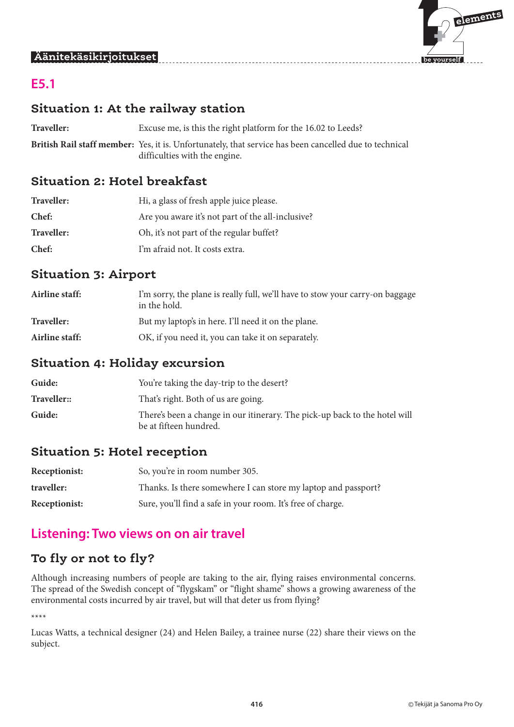

# **E5.1**

## **Situation 1: At the railway station**

| Traveller: | Excuse me, is this the right platform for the 16.02 to Leeds?                                                                           |
|------------|-----------------------------------------------------------------------------------------------------------------------------------------|
|            | British Rail staff member: Yes, it is. Unfortunately, that service has been cancelled due to technical<br>difficulties with the engine. |

### **Situation 2: Hotel breakfast**

| Traveller: | Hi, a glass of fresh apple juice please.          |
|------------|---------------------------------------------------|
| Chef:      | Are you aware it's not part of the all-inclusive? |
| Traveller: | Oh, it's not part of the regular buffet?          |
| Chef:      | I'm afraid not. It costs extra.                   |

#### **Situation 3: Airport**

| Airline staff: | I'm sorry, the plane is really full, we'll have to stow your carry-on baggage<br>in the hold. |
|----------------|-----------------------------------------------------------------------------------------------|
| Traveller:     | But my laptop's in here. I'll need it on the plane.                                           |
| Airline staff: | OK, if you need it, you can take it on separately.                                            |

### **Situation 4: Holiday excursion**

| Guide:      | You're taking the day-trip to the desert?                                                            |
|-------------|------------------------------------------------------------------------------------------------------|
| Traveller:: | That's right. Both of us are going.                                                                  |
| Guide:      | There's been a change in our itinerary. The pick-up back to the hotel will<br>be at fifteen hundred. |

## **Situation 5: Hotel reception**

| Receptionist: | So, you're in room number 305.                                 |
|---------------|----------------------------------------------------------------|
| traveller:    | Thanks. Is there somewhere I can store my laptop and passport? |
| Receptionist: | Sure, you'll find a safe in your room. It's free of charge.    |

## **Listening: Two views on on air travel**

## **To fly or not to fly?**

Although increasing numbers of people are taking to the air, flying raises environmental concerns. The spread of the Swedish concept of "flygskam" or "flight shame" shows a growing awareness of the environmental costs incurred by air travel, but will that deter us from flying?

\*\*\*\*

Lucas Watts, a technical designer (24) and Helen Bailey, a trainee nurse (22) share their views on the subject.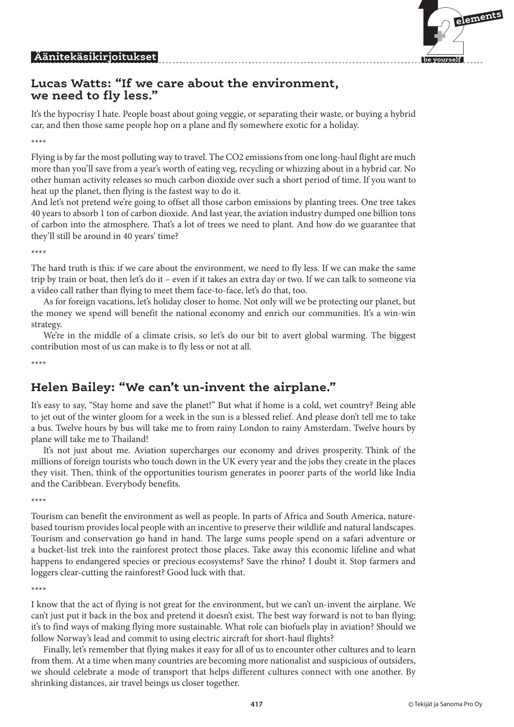

### **Lucas Watts: "If we care about the environment, we need to fly less."**

It's the hypocrisy I hate. People boast about going veggie, or separating their waste, or buying a hybrid car, and then those same people hop on a plane and fly somewhere exotic for a holiday.

\*\*\*\*

Flying is by far the most polluting way to travel. The CO2 emissions from one long-haul flight are much more than you'll save from a year's worth of eating veg, recycling or whizzing about in a hybrid car. No other human activity releases so much carbon dioxide over such a short period of time. If you want to heat up the planet, then flying is the fastest way to do it.

And let's not pretend we're going to offset all those carbon emissions by planting trees. One tree takes 40 years to absorb 1 ton of carbon dioxide. And last year, the aviation industry dumped one billion tons of carbon into the atmosphere. That's a lot of trees we need to plant. And how do we guarantee that they'll still be around in 40 years' time?

\*\*\*\*

The hard truth is this: if we care about the environment, we need to fly less. If we can make the same trip by train or boat, then let's do it – even if it takes an extra day or two. If we can talk to someone via a video call rather than flying to meet them face-to-face, let's do that, too.

As for foreign vacations, let's holiday closer to home. Not only will we be protecting our planet, but the money we spend will benefit the national economy and enrich our communities. It's a win-win strategy.

We're in the middle of a climate crisis, so let's do our bit to avert global warming. The biggest contribution most of us can make is to fly less or not at all.

\*\*\*\*

# **Helen Bailey: "We can't un-invent the airplane."**

It's easy to say, "Stay home and save the planet!" But what if home is a cold, wet country? Being able to jet out of the winter gloom for a week in the sun is a blessed relief. And please don't tell me to take a bus. Twelve hours by bus will take me to from rainy London to rainy Amsterdam. Twelve hours by plane will take me to Thailand!

It's not just about me. Aviation supercharges our economy and drives prosperity. Think of the millions of foreign tourists who touch down in the UK every year and the jobs they create in the places they visit. Then, think of the opportunities tourism generates in poorer parts of the world like India and the Caribbean. Everybody benefits.

\*\*\*\*

Tourism can benefit the environment as well as people. In parts of Africa and South America, naturebased tourism provides local people with an incentive to preserve their wildlife and natural landscapes. Tourism and conservation go hand in hand. The large sums people spend on a safari adventure or a bucket-list trek into the rainforest protect those places. Take away this economic lifeline and what happens to endangered species or precious ecosystems? Save the rhino? I doubt it. Stop farmers and loggers clear-cutting the rainforest? Good luck with that.

\*\*\*\*

I know that the act of flying is not great for the environment, but we can't un-invent the airplane. We can't just put it back in the box and pretend it doesn't exist. The best way forward is not to ban flying; it's to find ways of making flying more sustainable. What role can biofuels play in aviation? Should we follow Norway's lead and commit to using electric aircraft for short-haul flights?

Finally, let's remember that flying makes it easy for all of us to encounter other cultures and to learn from them. At a time when many countries are becoming more nationalist and suspicious of outsiders, we should celebrate a mode of transport that helps different cultures connect with one another. By shrinking distances, air travel beings us closer together.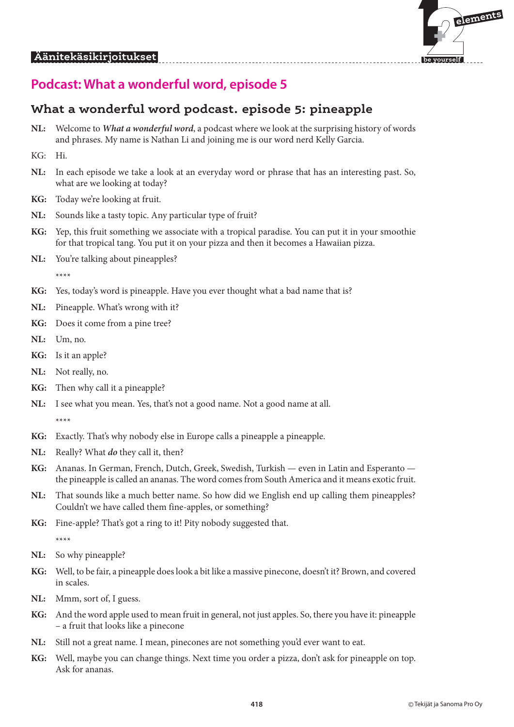



# **Podcast: What a wonderful word, episode 5**

## **What a wonderful word podcast. episode 5: pineapple**

- **NL:** Welcome to *What a wonderful word*, a podcast where we look at the surprising history of words and phrases. My name is Nathan Li and joining me is our word nerd Kelly Garcia.
- KG: Hi.
- **NL:** In each episode we take a look at an everyday word or phrase that has an interesting past. So, what are we looking at today?
- **KG:** Today we're looking at fruit.
- **NL:** Sounds like a tasty topic. Any particular type of fruit?
- **KG:** Yep, this fruit something we associate with a tropical paradise. You can put it in your smoothie for that tropical tang. You put it on your pizza and then it becomes a Hawaiian pizza.
- NL: You're talking about pineapples?

\*\*\*\*

- **KG:** Yes, today's word is pineapple. Have you ever thought what a bad name that is?
- **NL:** Pineapple. What's wrong with it?
- **KG:** Does it come from a pine tree?
- **NL:** Um, no.
- **KG:** Is it an apple?
- **NL:** Not really, no.
- **KG:** Then why call it a pineapple?
- **NL:** I see what you mean. Yes, that's not a good name. Not a good name at all. \*\*\*\*
- **KG:** Exactly. That's why nobody else in Europe calls a pineapple a pineapple.
- **NL:** Really? What *do* they call it, then?
- **KG:** Ananas. In German, French, Dutch, Greek, Swedish, Turkish even in Latin and Esperanto the pineapple is called an ananas. The word comes from South America and it means exotic fruit.
- **NL:** That sounds like a much better name. So how did we English end up calling them pineapples? Couldn't we have called them fine-apples, or something?
- **KG:** Fine-apple? That's got a ring to it! Pity nobody suggested that.

- **NL:** So why pineapple?
- **KG:** Well, to be fair, a pineapple does look a bit like a massive pinecone, doesn't it? Brown, and covered in scales.
- **NL:** Mmm, sort of, I guess.
- **KG:** And the word apple used to mean fruit in general, not just apples. So, there you have it: pineapple – a fruit that looks like a pinecone
- **NL:** Still not a great name. I mean, pinecones are not something you'd ever want to eat.
- **KG:** Well, maybe you can change things. Next time you order a pizza, don't ask for pineapple on top. Ask for ananas.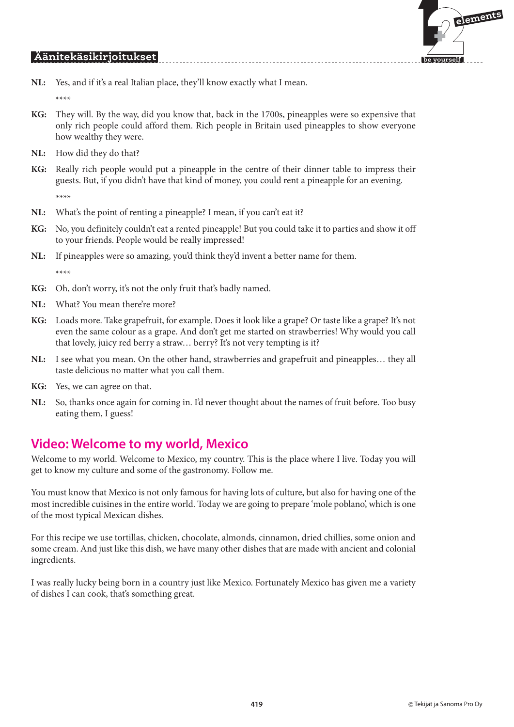

**NL:** Yes, and if it's a real Italian place, they'll know exactly what I mean.

\*\*\*\*

- **KG:** They will. By the way, did you know that, back in the 1700s, pineapples were so expensive that only rich people could afford them. Rich people in Britain used pineapples to show everyone how wealthy they were.
- **NL:** How did they do that?
- **KG:** Really rich people would put a pineapple in the centre of their dinner table to impress their guests. But, if you didn't have that kind of money, you could rent a pineapple for an evening. \*\*\*\*
- **NL:** What's the point of renting a pineapple? I mean, if you can't eat it?
- **KG:** No, you definitely couldn't eat a rented pineapple! But you could take it to parties and show it off to your friends. People would be really impressed!
- **NL:** If pineapples were so amazing, you'd think they'd invent a better name for them. \*\*\*\*
- **KG:** Oh, don't worry, it's not the only fruit that's badly named.
- NL: What? You mean there're more?
- **KG:** Loads more. Take grapefruit, for example. Does it look like a grape? Or taste like a grape? It's not even the same colour as a grape. And don't get me started on strawberries! Why would you call that lovely, juicy red berry a straw… berry? It's not very tempting is it?
- **NL:** I see what you mean. On the other hand, strawberries and grapefruit and pineapples… they all taste delicious no matter what you call them.
- **KG:** Yes, we can agree on that.
- **NL:** So, thanks once again for coming in. I'd never thought about the names of fruit before. Too busy eating them, I guess!

## **Video: Welcome to my world, Mexico**

Welcome to my world. Welcome to Mexico, my country. This is the place where I live. Today you will get to know my culture and some of the gastronomy. Follow me.

You must know that Mexico is not only famous for having lots of culture, but also for having one of the most incredible cuisines in the entire world. Today we are going to prepare 'mole poblano', which is one of the most typical Mexican dishes.

For this recipe we use tortillas, chicken, chocolate, almonds, cinnamon, dried chillies, some onion and some cream. And just like this dish, we have many other dishes that are made with ancient and colonial ingredients.

I was really lucky being born in a country just like Mexico. Fortunately Mexico has given me a variety of dishes I can cook, that's something great.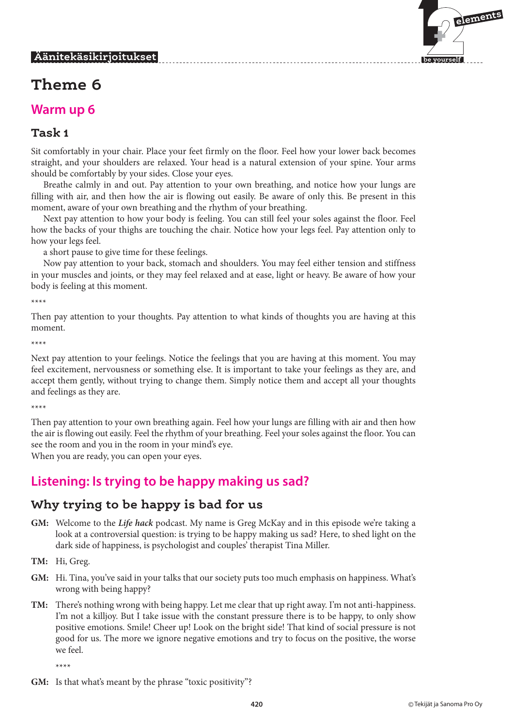# **Theme 6**

## **Warm up 6**

## **Task 1**

Sit comfortably in your chair. Place your feet firmly on the floor. Feel how your lower back becomes straight, and your shoulders are relaxed. Your head is a natural extension of your spine. Your arms should be comfortably by your sides. Close your eyes.

Breathe calmly in and out. Pay attention to your own breathing, and notice how your lungs are filling with air, and then how the air is flowing out easily. Be aware of only this. Be present in this moment, aware of your own breathing and the rhythm of your breathing.

Next pay attention to how your body is feeling. You can still feel your soles against the floor. Feel how the backs of your thighs are touching the chair. Notice how your legs feel. Pay attention only to how your legs feel.

a short pause to give time for these feelings.

Now pay attention to your back, stomach and shoulders. You may feel either tension and stiffness in your muscles and joints, or they may feel relaxed and at ease, light or heavy. Be aware of how your body is feeling at this moment.

\*\*\*\*

Then pay attention to your thoughts. Pay attention to what kinds of thoughts you are having at this moment.

\*\*\*\*

Next pay attention to your feelings. Notice the feelings that you are having at this moment. You may feel excitement, nervousness or something else. It is important to take your feelings as they are, and accept them gently, without trying to change them. Simply notice them and accept all your thoughts and feelings as they are.

\*\*\*\*

Then pay attention to your own breathing again. Feel how your lungs are filling with air and then how the air is flowing out easily. Feel the rhythm of your breathing. Feel your soles against the floor. You can see the room and you in the room in your mind's eye.

When you are ready, you can open your eyes.

# **Listening: Is trying to be happy making us sad?**

## **Why trying to be happy is bad for us**

- **GM:** Welcome to the *Life hack* podcast. My name is Greg McKay and in this episode we're taking a look at a controversial question: is trying to be happy making us sad? Here, to shed light on the dark side of happiness, is psychologist and couples' therapist Tina Miller.
- **TM:** Hi, Greg.
- **GM:** Hi. Tina, you've said in your talks that our society puts too much emphasis on happiness. What's wrong with being happy?
- **TM:** There's nothing wrong with being happy. Let me clear that up right away. I'm not anti-happiness. I'm not a killjoy. But I take issue with the constant pressure there is to be happy, to only show positive emotions. Smile! Cheer up! Look on the bright side! That kind of social pressure is not good for us. The more we ignore negative emotions and try to focus on the positive, the worse we feel.

\*\*\*\*

**GM:** Is that what's meant by the phrase "toxic positivity"?

 $\mathbf{F}$ 

 **be yourself**

 **elements**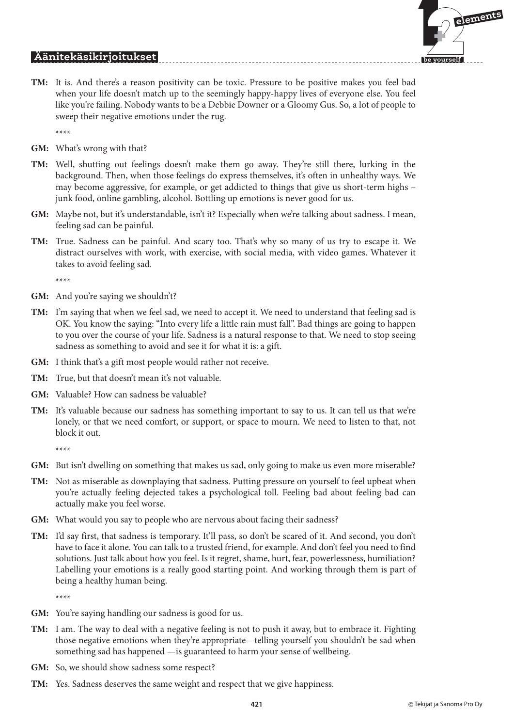# $\mathbf{F}$  **elements be yourself**

#### **Äänitekäsikirjoitukset**

**TM:** It is. And there's a reason positivity can be toxic. Pressure to be positive makes you feel bad when your life doesn't match up to the seemingly happy-happy lives of everyone else. You feel like you're failing. Nobody wants to be a Debbie Downer or a Gloomy Gus. So, a lot of people to sweep their negative emotions under the rug.

\*\*\*\*

- **GM:** What's wrong with that?
- **TM:** Well, shutting out feelings doesn't make them go away. They're still there, lurking in the background. Then, when those feelings do express themselves, it's often in unhealthy ways. We may become aggressive, for example, or get addicted to things that give us short-term highs – junk food, online gambling, alcohol. Bottling up emotions is never good for us.
- **GM:** Maybe not, but it's understandable, isn't it? Especially when we're talking about sadness. I mean, feeling sad can be painful.
- **TM:** True. Sadness can be painful. And scary too. That's why so many of us try to escape it. We distract ourselves with work, with exercise, with social media, with video games. Whatever it takes to avoid feeling sad.

\*\*\*\*

- GM: And you're saying we shouldn't?
- **TM:** I'm saying that when we feel sad, we need to accept it. We need to understand that feeling sad is OK. You know the saying: "Into every life a little rain must fall". Bad things are going to happen to you over the course of your life. Sadness is a natural response to that. We need to stop seeing sadness as something to avoid and see it for what it is: a gift.
- **GM:** I think that's a gift most people would rather not receive.
- **TM:** True, but that doesn't mean it's not valuable.
- **GM:** Valuable? How can sadness be valuable?
- **TM:** It's valuable because our sadness has something important to say to us. It can tell us that we're lonely, or that we need comfort, or support, or space to mourn. We need to listen to that, not block it out.

\*\*\*\*

- **GM:** But isn't dwelling on something that makes us sad, only going to make us even more miserable?
- **TM:** Not as miserable as downplaying that sadness. Putting pressure on yourself to feel upbeat when you're actually feeling dejected takes a psychological toll. Feeling bad about feeling bad can actually make you feel worse.
- **GM:** What would you say to people who are nervous about facing their sadness?
- **TM:** I'd say first, that sadness is temporary. It'll pass, so don't be scared of it. And second, you don't have to face it alone. You can talk to a trusted friend, for example. And don't feel you need to find solutions. Just talk about how you feel. Is it regret, shame, hurt, fear, powerlessness, humiliation? Labelling your emotions is a really good starting point. And working through them is part of being a healthy human being.

- **GM:** You're saying handling our sadness is good for us.
- **TM:** I am. The way to deal with a negative feeling is not to push it away, but to embrace it. Fighting those negative emotions when they're appropriate—telling yourself you shouldn't be sad when something sad has happened —is guaranteed to harm your sense of wellbeing.
- **GM:** So, we should show sadness some respect?
- **TM:** Yes. Sadness deserves the same weight and respect that we give happiness.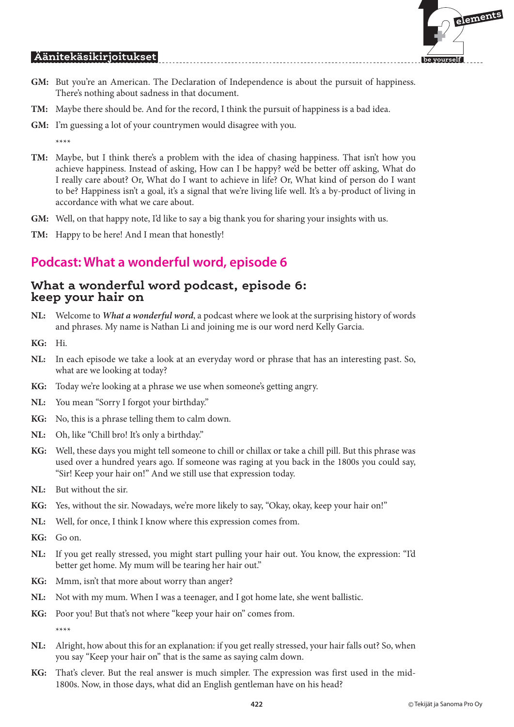

- GM: But you're an American. The Declaration of Independence is about the pursuit of happiness. There's nothing about sadness in that document.
- **TM:** Maybe there should be. And for the record, I think the pursuit of happiness is a bad idea.
- **GM:** I'm guessing a lot of your countrymen would disagree with you.

\*\*\*\*

- **TM:** Maybe, but I think there's a problem with the idea of chasing happiness. That isn't how you achieve happiness. Instead of asking, How can I be happy? we'd be better off asking, What do I really care about? Or, What do I want to achieve in life? Or, What kind of person do I want to be? Happiness isn't a goal, it's a signal that we're living life well. It's a by-product of living in accordance with what we care about.
- **GM:** Well, on that happy note, I'd like to say a big thank you for sharing your insights with us.
- **TM:** Happy to be here! And I mean that honestly!

# **Podcast: What a wonderful word, episode 6**

#### **What a wonderful word podcast, episode 6: keep your hair on**

- **NL:** Welcome to *What a wonderful word*, a podcast where we look at the surprising history of words and phrases. My name is Nathan Li and joining me is our word nerd Kelly Garcia.
- **KG:** Hi.
- **NL:** In each episode we take a look at an everyday word or phrase that has an interesting past. So, what are we looking at today?
- **KG:** Today we're looking at a phrase we use when someone's getting angry.
- **NL:** You mean "Sorry I forgot your birthday."
- **KG:** No, this is a phrase telling them to calm down.
- **NL:** Oh, like "Chill bro! It's only a birthday."
- **KG:** Well, these days you might tell someone to chill or chillax or take a chill pill. But this phrase was used over a hundred years ago. If someone was raging at you back in the 1800s you could say, "Sir! Keep your hair on!" And we still use that expression today.
- **NL:** But without the sir.
- **KG:** Yes, without the sir. Nowadays, we're more likely to say, "Okay, okay, keep your hair on!"
- **NL:** Well, for once, I think I know where this expression comes from.
- **KG:** Go on.
- **NL:** If you get really stressed, you might start pulling your hair out. You know, the expression: "I'd better get home. My mum will be tearing her hair out."
- **KG:** Mmm, isn't that more about worry than anger?
- **NL:** Not with my mum. When I was a teenager, and I got home late, she went ballistic.
- **KG:** Poor you! But that's not where "keep your hair on" comes from.

- **NL:** Alright, how about this for an explanation: if you get really stressed, your hair falls out? So, when you say "Keep your hair on" that is the same as saying calm down.
- **KG:** That's clever. But the real answer is much simpler. The expression was first used in the mid-1800s. Now, in those days, what did an English gentleman have on his head?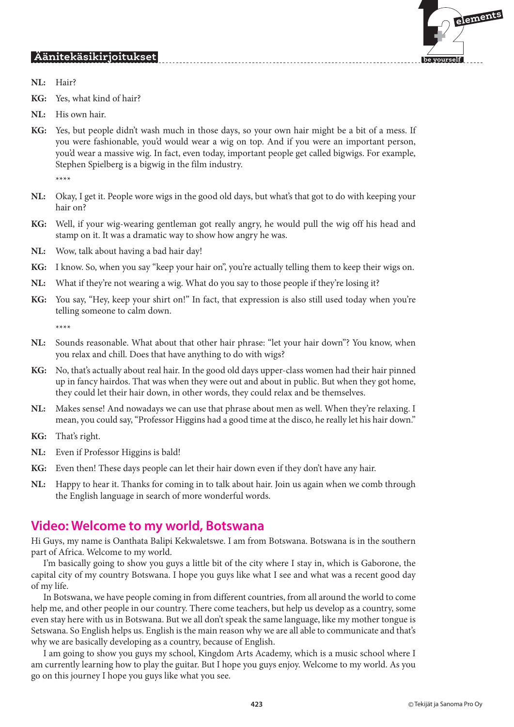

**NL:** Hair?

**KG:** Yes, what kind of hair?

**NL:** His own hair.

**KG:** Yes, but people didn't wash much in those days, so your own hair might be a bit of a mess. If you were fashionable, you'd would wear a wig on top. And if you were an important person, you'd wear a massive wig. In fact, even today, important people get called bigwigs. For example, Stephen Spielberg is a bigwig in the film industry.

\*\*\*\*

- **NL:** Okay, I get it. People wore wigs in the good old days, but what's that got to do with keeping your hair on?
- **KG:** Well, if your wig-wearing gentleman got really angry, he would pull the wig off his head and stamp on it. It was a dramatic way to show how angry he was.
- **NL:** Wow, talk about having a bad hair day!
- **KG:** I know. So, when you say "keep your hair on", you're actually telling them to keep their wigs on.
- **NL:** What if they're not wearing a wig. What do you say to those people if they're losing it?
- **KG:** You say, "Hey, keep your shirt on!" In fact, that expression is also still used today when you're telling someone to calm down.

\*\*\*\*

- **NL:** Sounds reasonable. What about that other hair phrase: "let your hair down"? You know, when you relax and chill. Does that have anything to do with wigs?
- **KG:** No, that's actually about real hair. In the good old days upper-class women had their hair pinned up in fancy hairdos. That was when they were out and about in public. But when they got home, they could let their hair down, in other words, they could relax and be themselves.
- NL: Makes sense! And nowadays we can use that phrase about men as well. When they're relaxing. I mean, you could say, "Professor Higgins had a good time at the disco, he really let his hair down."

**KG:** That's right.

- **NL:** Even if Professor Higgins is bald!
- **KG:** Even then! These days people can let their hair down even if they don't have any hair.
- **NL:** Happy to hear it. Thanks for coming in to talk about hair. Join us again when we comb through the English language in search of more wonderful words.

## **Video: Welcome to my world, Botswana**

Hi Guys, my name is Oanthata Balipi Kekwaletswe. I am from Botswana. Botswana is in the southern part of Africa. Welcome to my world.

I'm basically going to show you guys a little bit of the city where I stay in, which is Gaborone, the capital city of my country Botswana. I hope you guys like what I see and what was a recent good day of my life.

In Botswana, we have people coming in from different countries, from all around the world to come help me, and other people in our country. There come teachers, but help us develop as a country, some even stay here with us in Botswana. But we all don't speak the same language, like my mother tongue is Setswana. So English helps us. English is the main reason why we are all able to communicate and that's why we are basically developing as a country, because of English.

I am going to show you guys my school, Kingdom Arts Academy, which is a music school where I am currently learning how to play the guitar. But I hope you guys enjoy. Welcome to my world. As you go on this journey I hope you guys like what you see.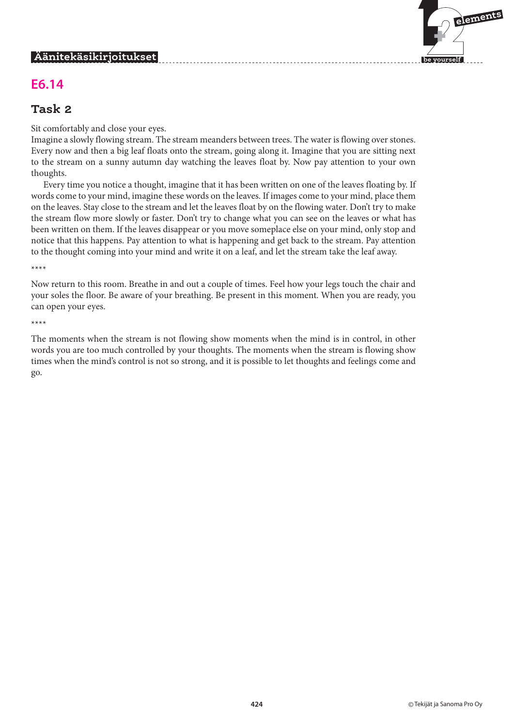

## **E6.14**

#### **Task 2**

Sit comfortably and close your eyes.

Imagine a slowly flowing stream. The stream meanders between trees. The water is flowing over stones. Every now and then a big leaf floats onto the stream, going along it. Imagine that you are sitting next to the stream on a sunny autumn day watching the leaves float by. Now pay attention to your own thoughts.

Every time you notice a thought, imagine that it has been written on one of the leaves floating by. If words come to your mind, imagine these words on the leaves. If images come to your mind, place them on the leaves. Stay close to the stream and let the leaves float by on the flowing water. Don't try to make the stream flow more slowly or faster. Don't try to change what you can see on the leaves or what has been written on them. If the leaves disappear or you move someplace else on your mind, only stop and notice that this happens. Pay attention to what is happening and get back to the stream. Pay attention to the thought coming into your mind and write it on a leaf, and let the stream take the leaf away.

\*\*\*\*

Now return to this room. Breathe in and out a couple of times. Feel how your legs touch the chair and your soles the floor. Be aware of your breathing. Be present in this moment. When you are ready, you can open your eyes.

\*\*\*\*

The moments when the stream is not flowing show moments when the mind is in control, in other words you are too much controlled by your thoughts. The moments when the stream is flowing show times when the mind's control is not so strong, and it is possible to let thoughts and feelings come and go.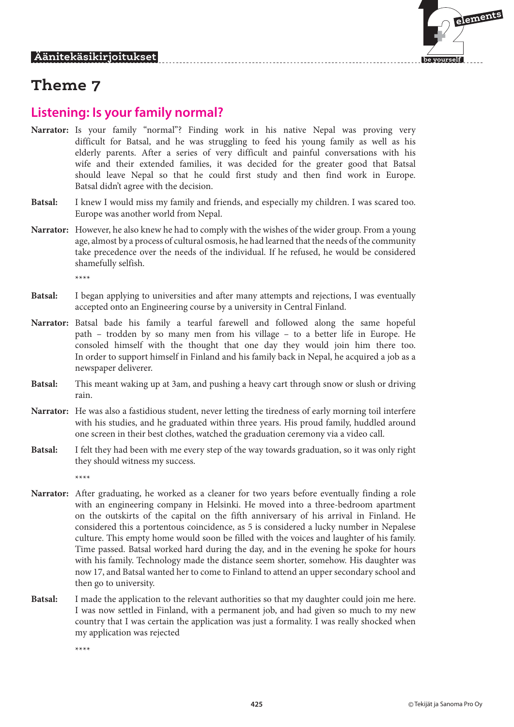

# **Theme 7**

# **Listening: Is your family normal?**

- **Narrator:** Is your family "normal"? Finding work in his native Nepal was proving very difficult for Batsal, and he was struggling to feed his young family as well as his elderly parents. After a series of very difficult and painful conversations with his wife and their extended families, it was decided for the greater good that Batsal should leave Nepal so that he could first study and then find work in Europe. Batsal didn't agree with the decision.
- **Batsal:** I knew I would miss my family and friends, and especially my children. I was scared too. Europe was another world from Nepal.
- **Narrator:** However, he also knew he had to comply with the wishes of the wider group. From a young age, almost by a process of cultural osmosis, he had learned that the needs of the community take precedence over the needs of the individual. If he refused, he would be considered shamefully selfish.

\*\*\*\*

- **Batsal:** I began applying to universities and after many attempts and rejections, I was eventually accepted onto an Engineering course by a university in Central Finland.
- **Narrator:** Batsal bade his family a tearful farewell and followed along the same hopeful path – trodden by so many men from his village – to a better life in Europe. He consoled himself with the thought that one day they would join him there too. In order to support himself in Finland and his family back in Nepal, he acquired a job as a newspaper deliverer.
- **Batsal:** This meant waking up at 3am, and pushing a heavy cart through snow or slush or driving rain.
- **Narrator:** He was also a fastidious student, never letting the tiredness of early morning toil interfere with his studies, and he graduated within three years. His proud family, huddled around one screen in their best clothes, watched the graduation ceremony via a video call.
- **Batsal:** I felt they had been with me every step of the way towards graduation, so it was only right they should witness my success.

\*\*\*\*

- **Narrator:** After graduating, he worked as a cleaner for two years before eventually finding a role with an engineering company in Helsinki. He moved into a three-bedroom apartment on the outskirts of the capital on the fifth anniversary of his arrival in Finland. He considered this a portentous coincidence, as 5 is considered a lucky number in Nepalese culture. This empty home would soon be filled with the voices and laughter of his family. Time passed. Batsal worked hard during the day, and in the evening he spoke for hours with his family. Technology made the distance seem shorter, somehow. His daughter was now 17, and Batsal wanted her to come to Finland to attend an upper secondary school and then go to university.
- **Batsal:** I made the application to the relevant authorities so that my daughter could join me here. I was now settled in Finland, with a permanent job, and had given so much to my new country that I was certain the application was just a formality. I was really shocked when my application was rejected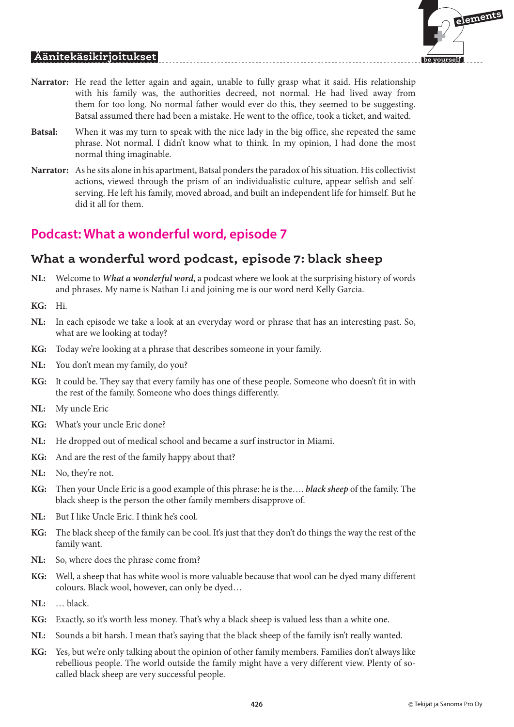# $\mathbf{F}$  **elements be yourself**

#### **Äänitekäsikirjoitukset**

- **Narrator:** He read the letter again and again, unable to fully grasp what it said. His relationship with his family was, the authorities decreed, not normal. He had lived away from them for too long. No normal father would ever do this, they seemed to be suggesting. Batsal assumed there had been a mistake. He went to the office, took a ticket, and waited.
- **Batsal:** When it was my turn to speak with the nice lady in the big office, she repeated the same phrase. Not normal. I didn't know what to think. In my opinion, I had done the most normal thing imaginable.
- **Narrator:** As he sits alone in his apartment, Batsal ponders the paradox of his situation. His collectivist actions, viewed through the prism of an individualistic culture, appear selfish and selfserving. He left his family, moved abroad, and built an independent life for himself. But he did it all for them.

# **Podcast: What a wonderful word, episode 7**

## **What a wonderful word podcast, episode 7: black sheep**

- **NL:** Welcome to *What a wonderful word*, a podcast where we look at the surprising history of words and phrases. My name is Nathan Li and joining me is our word nerd Kelly Garcia.
- **KG:** Hi.
- **NL:** In each episode we take a look at an everyday word or phrase that has an interesting past. So, what are we looking at today?
- **KG:** Today we're looking at a phrase that describes someone in your family.
- **NL:** You don't mean my family, do you?
- **KG:** It could be. They say that every family has one of these people. Someone who doesn't fit in with the rest of the family. Someone who does things differently.
- **NL:** My uncle Eric
- **KG:** What's your uncle Eric done?
- **NL:** He dropped out of medical school and became a surf instructor in Miami.
- **KG:** And are the rest of the family happy about that?
- **NL:** No, they're not.
- **KG:** Then your Uncle Eric is a good example of this phrase: he is the…. *black sheep* of the family. The black sheep is the person the other family members disapprove of.
- **NL:** But I like Uncle Eric. I think he's cool.
- **KG:** The black sheep of the family can be cool. It's just that they don't do things the way the rest of the family want.
- **NL:** So, where does the phrase come from?
- **KG:** Well, a sheep that has white wool is more valuable because that wool can be dyed many different colours. Black wool, however, can only be dyed…
- **NL:** … black.
- **KG:** Exactly, so it's worth less money. That's why a black sheep is valued less than a white one.
- **NL:** Sounds a bit harsh. I mean that's saying that the black sheep of the family isn't really wanted.
- **KG:** Yes, but we're only talking about the opinion of other family members. Families don't always like rebellious people. The world outside the family might have a very different view. Plenty of socalled black sheep are very successful people.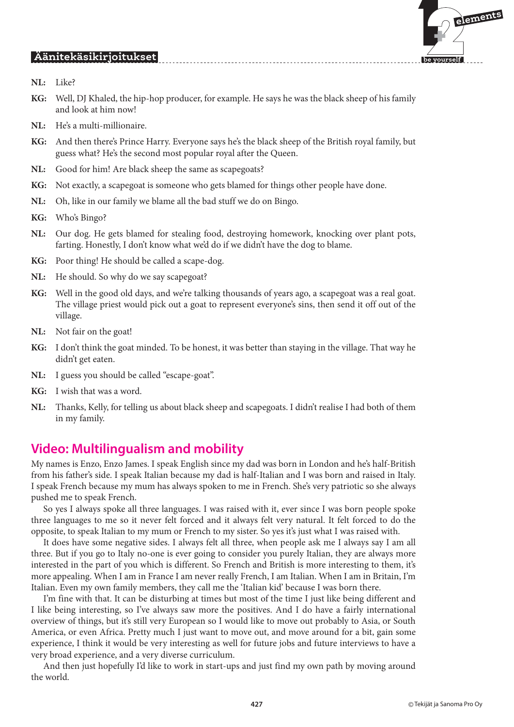

- **NL:** Like?
- **KG:** Well, DJ Khaled, the hip-hop producer, for example. He says he was the black sheep of his family and look at him now!
- **NL:** He's a multi-millionaire.
- **KG:** And then there's Prince Harry. Everyone says he's the black sheep of the British royal family, but guess what? He's the second most popular royal after the Queen.
- **NL:** Good for him! Are black sheep the same as scapegoats?
- **KG:** Not exactly, a scapegoat is someone who gets blamed for things other people have done.
- **NL:** Oh, like in our family we blame all the bad stuff we do on Bingo.
- **KG:** Who's Bingo?
- **NL:** Our dog. He gets blamed for stealing food, destroying homework, knocking over plant pots, farting. Honestly, I don't know what we'd do if we didn't have the dog to blame.
- **KG:** Poor thing! He should be called a scape-dog.
- **NL:** He should. So why do we say scapegoat?
- **KG:** Well in the good old days, and we're talking thousands of years ago, a scapegoat was a real goat. The village priest would pick out a goat to represent everyone's sins, then send it off out of the village.
- **NL:** Not fair on the goat!
- **KG:** I don't think the goat minded. To be honest, it was better than staying in the village. That way he didn't get eaten.
- **NL:** I guess you should be called "escape-goat".
- **KG:** I wish that was a word.
- **NL:** Thanks, Kelly, for telling us about black sheep and scapegoats. I didn't realise I had both of them in my family.

## **Video: Multilingualism and mobility**

My names is Enzo, Enzo James. I speak English since my dad was born in London and he's half-British from his father's side. I speak Italian because my dad is half-Italian and I was born and raised in Italy. I speak French because my mum has always spoken to me in French. She's very patriotic so she always pushed me to speak French.

So yes I always spoke all three languages. I was raised with it, ever since I was born people spoke three languages to me so it never felt forced and it always felt very natural. It felt forced to do the opposite, to speak Italian to my mum or French to my sister. So yes it's just what I was raised with.

It does have some negative sides. I always felt all three, when people ask me I always say I am all three. But if you go to Italy no-one is ever going to consider you purely Italian, they are always more interested in the part of you which is different. So French and British is more interesting to them, it's more appealing. When I am in France I am never really French, I am Italian. When I am in Britain, I'm Italian. Even my own family members, they call me the 'Italian kid' because I was born there.

I'm fine with that. It can be disturbing at times but most of the time I just like being different and I like being interesting, so I've always saw more the positives. And I do have a fairly international overview of things, but it's still very European so I would like to move out probably to Asia, or South America, or even Africa. Pretty much I just want to move out, and move around for a bit, gain some experience, I think it would be very interesting as well for future jobs and future interviews to have a very broad experience, and a very diverse curriculum.

And then just hopefully I'd like to work in start-ups and just find my own path by moving around the world.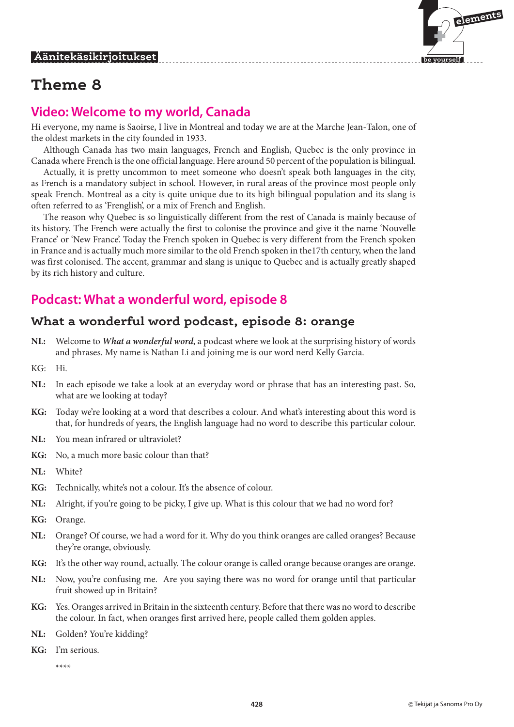

# **Theme 8**

# **Video: Welcome to my world, Canada**

Hi everyone, my name is Saoirse, I live in Montreal and today we are at the Marche Jean-Talon, one of the oldest markets in the city founded in 1933.

Although Canada has two main languages, French and English, Quebec is the only province in Canada where French is the one official language. Here around 50 percent of the population is bilingual.

Actually, it is pretty uncommon to meet someone who doesn't speak both languages in the city, as French is a mandatory subject in school. However, in rural areas of the province most people only speak French. Montreal as a city is quite unique due to its high bilingual population and its slang is often referred to as 'Frenglish', or a mix of French and English.

The reason why Quebec is so linguistically different from the rest of Canada is mainly because of its history. The French were actually the first to colonise the province and give it the name 'Nouvelle France' or 'New France'. Today the French spoken in Quebec is very different from the French spoken in France and is actually much more similar to the old French spoken in the17th century, when the land was first colonised. The accent, grammar and slang is unique to Quebec and is actually greatly shaped by its rich history and culture.

# **Podcast: What a wonderful word, episode 8**

## **What a wonderful word podcast, episode 8: orange**

- **NL:** Welcome to *What a wonderful word*, a podcast where we look at the surprising history of words and phrases. My name is Nathan Li and joining me is our word nerd Kelly Garcia.
- KG: Hi.
- **NL:** In each episode we take a look at an everyday word or phrase that has an interesting past. So, what are we looking at today?
- **KG:** Today we're looking at a word that describes a colour. And what's interesting about this word is that, for hundreds of years, the English language had no word to describe this particular colour.
- **NL:** You mean infrared or ultraviolet?
- **KG:** No, a much more basic colour than that?
- **NL:** White?
- **KG:** Technically, white's not a colour. It's the absence of colour.
- **NL:** Alright, if you're going to be picky, I give up. What is this colour that we had no word for?
- **KG:** Orange.
- **NL:** Orange? Of course, we had a word for it. Why do you think oranges are called oranges? Because they're orange, obviously.
- **KG:** It's the other way round, actually. The colour orange is called orange because oranges are orange.
- **NL:** Now, you're confusing me. Are you saying there was no word for orange until that particular fruit showed up in Britain?
- **KG:** Yes. Oranges arrived in Britain in the sixteenth century. Before that there was no word to describe the colour. In fact, when oranges first arrived here, people called them golden apples.
- **NL:** Golden? You're kidding?
- **KG:** I'm serious.
	- \*\*\*\*